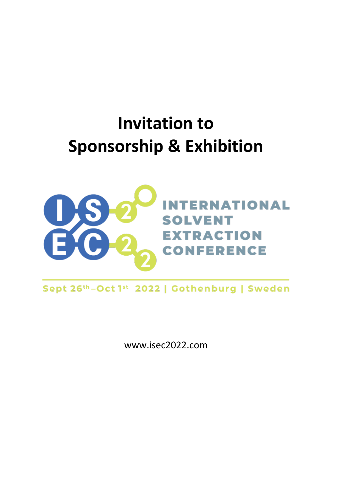# **Invitation to Sponsorship & Exhibition**



Sept 26th-Oct 1st 2022 | Gothenburg | Sweden

www.isec2022.com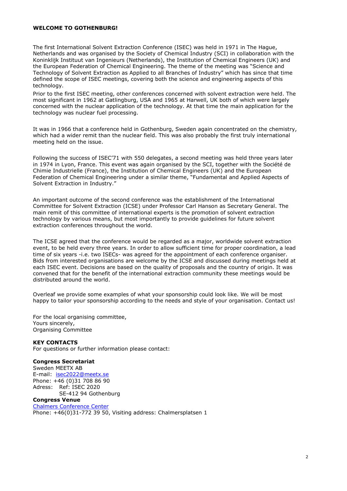### **WELCOME TO GOTHENBURG!**

The first International Solvent Extraction Conference (ISEC) was held in 1971 in The Hague, Netherlands and was organised by the Society of Chemical Industry (SCI) in collaboration with the Koninklijk Instituut van Ingenieurs (Netherlands), the Institution of Chemical Engineers (UK) and the European Federation of Chemical Engineering. The theme of the meeting was "Science and Technology of Solvent Extraction as Applied to all Branches of Industry" which has since that time defined the scope of ISEC meetings, covering both the science and engineering aspects of this technology.

Prior to the first ISEC meeting, other conferences concerned with solvent extraction were held. The most significant in 1962 at Gatlingburg, USA and 1965 at Harwell, UK both of which were largely concerned with the nuclear application of the technology. At that time the main application for the technology was nuclear fuel processing.

It was in 1966 that a conference held in Gothenburg, Sweden again concentrated on the chemistry, which had a wider remit than the nuclear field. This was also probably the first truly international meeting held on the issue.

Following the success of ISEC'71 with 550 delegates, a second meeting was held three years later in 1974 in Lyon, France. This event was again organised by the SCI, together with the Société de Chimie Industrielle (France), the Institution of Chemical Engineers (UK) and the European Federation of Chemical Engineering under a similar theme, "Fundamental and Applied Aspects of Solvent Extraction in Industry."

An important outcome of the second conference was the establishment of the International Committee for Solvent Extraction (ICSE) under Professor Carl Hanson as Secretary General. The main remit of this committee of international experts is the promotion of solvent extraction technology by various means, but most importantly to provide guidelines for future solvent extraction conferences throughout the world.

The ICSE agreed that the conference would be regarded as a major, worldwide solvent extraction event, to be held every three years. In order to allow sufficient time for proper coordination, a lead time of six years -i.e. two ISECs- was agreed for the appointment of each conference organiser. Bids from interested organisations are welcome by the ICSE and discussed during meetings held at each ISEC event. Decisions are based on the quality of proposals and the country of origin. It was convened that for the benefit of the international extraction community these meetings would be distributed around the world.

Overleaf we provide some examples of what your sponsorship could look like. We will be most happy to tailor your sponsorship according to the needs and style of your organisation. Contact us!

For the local organising committee, Yours sincerely, Organising Committee

### **KEY CONTACTS**

For questions or further information please contact:

### **Congress Secretariat**

Sweden MEETX AB E-mail: [isec2022@meetx.se](mailto:isec2020@meetx.se) Phone: +46 (0)31 708 86 90 Adress: Ref: ISEC 2020 SE-412 94 Gothenburg

# **Congress Venue**

[Chalmers Conference Center](https://isec2020.com/practical-information/venue-chalmers-conference-centre/) Phone: +46(0)31-772 39 50, Visiting address: Chalmersplatsen 1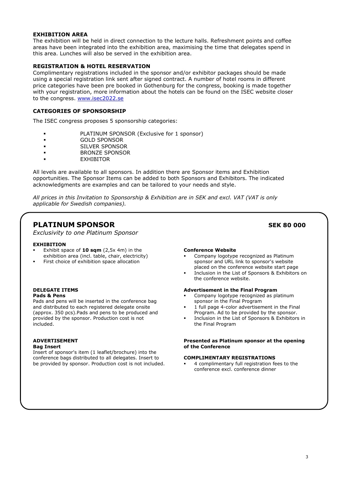### **EXHIBITION AREA**

The exhibition will be held in direct connection to the lecture halls. Refreshment points and coffee areas have been integrated into the exhibition area, maximising the time that delegates spend in this area. Lunches will also be served in the exhibition area.

### **REGISTRATION & HOTEL RESERVATION**

Complimentary registrations included in the sponsor and/or exhibitor packages should be made using a special registration link sent after signed contract. A number of hotel rooms in different price categories have been pre booked in Gothenburg for the congress, booking is made together with your registration, more information about the hotels can be found on the ISEC website closer to the congress. [www.isec2022.se](http://www.isec2020.se/)

### **CATEGORIES OF SPONSORSHIP**

The ISEC congress proposes 5 sponsorship categories:

- PLATINUM SPONSOR (Exclusive for 1 sponsor)
- GOLD SPONSOR
- SILVER SPONSOR
- BRONZE SPONSOR
- EXHIBITOR

All levels are available to all sponsors. In addition there are Sponsor items and Exhibition opportunities. The Sponsor Items can be added to both Sponsors and Exhibitors. The indicated acknowledgments are examples and can be tailored to your needs and style.

*All prices in this Invitation to Sponsorship & Exhibition are in SEK and excl. VAT (VAT is only applicable for Swedish companies).*

# **PLATINUM SPONSOR SEK 80 000**

*Exclusivity to one Platinum Sponsor* 

#### **EXHIBITION**

- Exhibit space of **10 sqm** (2,5x 4m) in the exhibition area (incl. table, chair, electricity)
- First choice of exhibition space allocation

#### **DELEGATE ITEMS Pads & Pens**

Pads and pens will be inserted in the conference bag and distributed to each registered delegate onsite (approx. 350 pcs).Pads and pens to be produced and provided by the sponsor. Production cost is not included.

#### **ADVERTISEMENT Bag Insert**

Insert of sponsor's item (1 leaflet/brochure) into the conference bags distributed to all delegates. Insert to be provided by sponsor. Production cost is not included.

#### **Conference Website**

- Company logotype recognized as Platinum sponsor and URL link to sponsor's website placed on the conference website start page
- Inclusion in the List of Sponsors & Exhibitors on the conference website.

#### **Advertisement in the Final Program**

- Company logotype recognized as platinum sponsor in the Final Program
- 1 full page 4-color advertisement in the Final Program. Ad to be provided by the sponsor.
- Inclusion in the List of Sponsors & Exhibitors in the Final Program

#### **Presented as Platinum sponsor at the opening of the Conference**

#### **COMPLIMENTARY REGISTRATIONS**

 4 complimentary full registration fees to the conference excl. conference dinner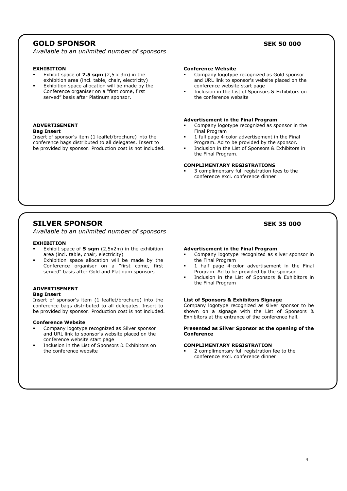# **GOLD SPONSOR SEK 50 000**

*Available to an unlimited number of sponsors*

#### **EXHIBITION**

- Exhibit space of **7.5 sqm** (2,5 x 3m) in the exhibition area (incl. table, chair, electricity)
- Exhibition space allocation will be made by the Conference organiser on a "first come, first served" basis after Platinum sponsor.

#### **ADVERTISEMENT Bag Insert**

Insert of sponsor's item (1 leaflet/brochure) into the conference bags distributed to all delegates. Insert to be provided by sponsor. Production cost is not included.

#### **Conference Website**

- Company logotype recognized as Gold sponsor and URL link to sponsor's website placed on the conference website start page
- Inclusion in the List of Sponsors & Exhibitors on the conference website

#### **Advertisement in the Final Program**

- Company logotype recognized as sponsor in the Final Program
- 1 full page 4-color advertisement in the Final Program. Ad to be provided by the sponsor.
- Inclusion in the List of Sponsors & Exhibitors in the Final Program.

#### **COMPLIMENTARY REGISTRATIONS**

 3 complimentary full registration fees to the conference excl. conference dinner

# **SILVER SPONSOR SEK 35 000**

*Available to an unlimited number of sponsors*

#### **EXHIBITION**

- Exhibit space of **5 sqm** (2,5x2m) in the exhibition area (incl. table, chair, electricity)
- Exhibition space allocation will be made by the Conference organiser on a "first come, first served" basis after Gold and Platinum sponsors.

#### **ADVERTISEMENT Bag Insert**

Insert of sponsor's item (1 leaflet/brochure) into the conference bags distributed to all delegates. Insert to be provided by sponsor. Production cost is not included.

#### **Conference Website**

- Company logotype recognized as Silver sponsor and URL link to sponsor's website placed on the conference website start page
- Inclusion in the List of Sponsors & Exhibitors on the conference website

#### **Advertisement in the Final Program**

- Company logotype recognized as silver sponsor in the Final Program
- 1 half page 4-color advertisement in the Final Program. Ad to be provided by the sponsor.
- Inclusion in the List of Sponsors & Exhibitors in the Final Program

#### **List of Sponsors & Exhibitors Signage**

Company logotype recognized as silver sponsor to be shown on a signage with the List of Sponsors & Exhibitors at the entrance of the conference hall.

#### **Presented as Silver Sponsor at the opening of the Conference**

#### **COMPLIMENTARY REGISTRATION**

 2 complimentary full registration fee to the conference excl. conference dinner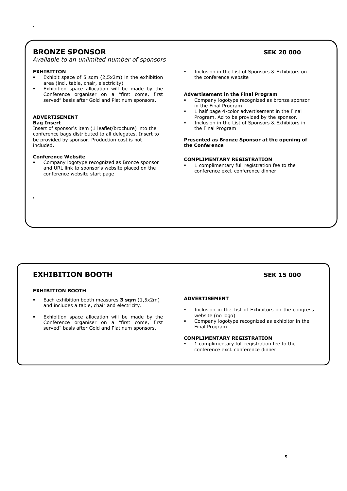# **BRONZE SPONSOR SEK 20 000**

*Available to an unlimited number of sponsors*

#### **EXHIBITION**

**'**

- Exhibit space of 5 sqm (2,5x2m) in the exhibition area (incl. table, chair, electricity)
- Exhibition space allocation will be made by the Conference organiser on a "first come, first served" basis after Gold and Platinum sponsors.

#### **ADVERTISEMENT**

#### **Bag Insert**

**'**

Insert of sponsor's item (1 leaflet/brochure) into the conference bags distributed to all delegates. Insert to be provided by sponsor. Production cost is not included.

#### **Conference Website**

 Company logotype recognized as Bronze sponsor and URL link to sponsor's website placed on the conference website start page

**Inclusion in the List of Sponsors & Exhibitors on** the conference website

#### **Advertisement in the Final Program**

- Company logotype recognized as bronze sponsor in the Final Program
- 1 half page 4-color advertisement in the Final Program. Ad to be provided by the sponsor.
- Inclusion in the List of Sponsors & Exhibitors in the Final Program

**Presented as Bronze Sponsor at the opening of the Conference**

#### **COMPLIMENTARY REGISTRATION**

 1 complimentary full registration fee to the conference excl. conference dinner

# **EXHIBITION BOOTH SEK 15 000**

#### **EXHIBITION BOOTH**

- Each exhibition booth measures **3 sqm** (1,5x2m) and includes a table, chair and electricity.
- Exhibition space allocation will be made by the Conference organiser on a "first come, first served" basis after Gold and Platinum sponsors.

#### **ADVERTISEMENT**

- Inclusion in the List of Exhibitors on the congress website (no logo)
- Company logotype recognized as exhibitor in the Final Program

#### **COMPLIMENTARY REGISTRATION**

 1 complimentary full registration fee to the conference excl. conference dinner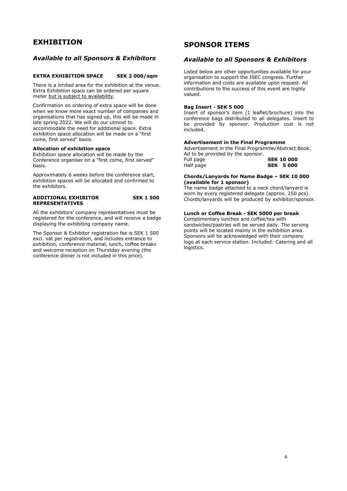# **EXHIBITION**

### *Available to all Sponsors & Exhibitors*

#### **EXTRA EXHIBITION SPACE SEK 2 000/sqm**

There is a limited area for the exhibition at the venue. Extra Exhibition space can be ordered per square meter but is subject to availability.

Confirmation on ordering of extra space will be done when we know more exact number of companies and organisations that has signed up, this will be made in late spring 2022. We will do our utmost to accommodate the need for additional space. Extra exhibition space allocation will be made on a "first come, first served" basis.

#### **Allocation of exhibition space**

Exhibition space allocation will be made by the Conference organiser on a "first come, first served" basis.

Approximately 6 weeks before the conference start, exhibition spaces will be allocated and confirmed to the exhibitors.

#### **ADDITIONAL EXHIBITOR SEK 1 500 REPRESENTATIVES**

All the exhibitors' company representatives must be registered for the conference, and will receive a badge displaying the exhibiting company name.

The Sponsor & Exhibitor registration fee is SEK 1 500 excl. vat per registration, and includes entrance to exhibition, conference material, lunch, coffee breaks and welcome reception on Thurstday evening (the conference dinner is not included in this price).

# **SPONSOR ITEMS**

## *Available to all Sponsors & Exhibitors*

Listed below are other opportunities available for your organisation to support the ISEC congress. Further information and costs are available upon request. All contributions to the success of this event are highly valued.

#### **Bag Insert - SEK 5 000**

Insert of sponsor's item (1 leaflet/brochure) into the conference bags distributed to all delegates. Insert to be provided by sponsor. Production cost is not included.

#### **Advertisement in the Final Programme**

Advertisement in the Final Programme/Abstract Book. Ad to be provided by the sponsor.<br>Full page Full page **SEK 10 000** Half page **SEK 5 000**

#### **Chords/Lanyards for Name Badge – SEK 10 000 (available for 1 sponsor)**

The name badge attached to a neck chord/lanyard is worn by every registered delegate (approx. 250 pcs). Chords/lanyards will be produced by exhibitor/sponsor.

### **Lunch or Coffee Break - SEK 5000 per break**

Complimentary lunches and coffee/tea with sandwiches/pastries will be served daily. The serving points will be located mainly in the exhibition area. Sponsors will be acknowledged with their company logo at each service station. Included: Catering and all logistics.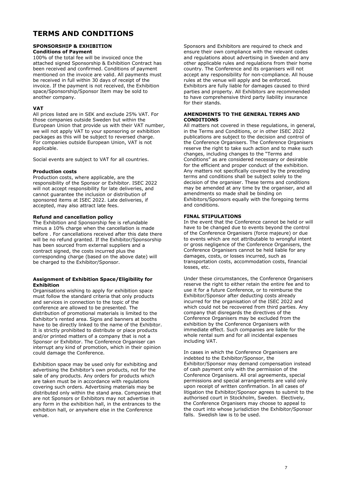# **TERMS AND CONDITIONS**

#### **SPONSORSHIP & EXHIBITION Conditions of Payment**

100% of the total fee will be invoiced once the attached signed Sponsorship & Exhibition Contract has been received and confirmed. Conditions of payment mentioned on the invoice are valid. All payments must be received in full within 30 days of receipt of the invoice. If the payment is not received, the Exhibition space/Sponsorship/Sponsor Item may be sold to another company.

### **VAT**

All prices listed are in SEK and exclude 25% VAT. For those companies outside Sweden but within the European Union that provide us with their VAT number, we will not apply VAT to your sponsoring or exhibition packages as this will be subject to reversed charge. For companies outside European Union, VAT is not applicable.

Social events are subject to VAT for all countries.

#### **Production costs**

Production costs, where applicable, are the responsibility of the Sponsor or Exhibitor. ISEC 2022 will not accept responsibility for late deliveries, and cannot guarantee the inclusion or distribution of sponsored items at ISEC 2022. Late deliveries, if accepted, may also attract late fees.

#### **Refund and cancellation policy**

The Exhibition and Sponsorship fee is refundable minus a 10% charge when the cancellation is made before . For cancellations received after this date there will be no refund granted. If the Exhibitor/Sponsorship has been sourced from external suppliers and a contract signed, the costs incurred plus the corresponding charge (based on the above date) will be charged to the Exhibitor/Sponsor.

#### **Assignment of Exhibition Space/Eligibility for Exhibition**

Organisations wishing to apply for exhibition space must follow the standard criteria that only products and services in connection to the topic of the conference are allowed to be presented. The distribution of promotional materials is limited to the Exhibitor's rented area. Signs and banners at booths have to be directly linked to the name of the Exhibitor. It is strictly prohibited to distribute or place products and/or printed matters of a company that is not a Sponsor or Exhibitor. The Conference Organiser can interrupt any kind of promotion, which in their opinion could damage the Conference.

Exhibition space may be used only for exhibiting and advertising the Exhibitor's own products, not for the sale of any products. Any orders for products which are taken must be in accordance with regulations covering such orders. Advertising materials may be distributed only within the stand area. Companies that are not Sponsors or Exhibitors may not advertise in any form in the exhibition hall, in the entrances to the exhibition hall, or anywhere else in the Conference venue.

Sponsors and Exhibitors are required to check and ensure their own compliance with the relevant codes and regulations about advertising in Sweden and any other applicable rules and regulations from their home country. The Conference and its organisers will not accept any responsibility for non-compliance. All house rules at the venue will apply and be enforced. Exhibitors are fully liable for damages caused to third parties and property. All Exhibitors are recommended to have comprehensive third party liability insurance for their stands.

#### **AMENDMENTS TO THE GENERAL TERMS AND CONDITIONS**

All matters not covered in these regulations, in general, in the Terms and Conditions, or in other ISEC 2022 publications are subject to the decision and control of the Conference Organisers. The Conference Organisers reserve the right to take such action and to make such changes, including changes to the "Terms and Conditions" as are considered necessary or desirable for the efficient and proper conduct of the exhibition. Any matters not specifically covered by the preceding terms and conditions shall be subject solely to the decision of the organiser. These terms and conditions may be amended at any time by the organiser, and all amendments so made shall be binding on Exhibitors/Sponsors equally with the foregoing terms and conditions.

#### **FINAL STIPULATIONS**

In the event that the Conference cannot be held or will have to be changed due to events beyond the control of the Conference Organisers (force majeure) or due to events which are not attributable to wrongful intent or gross negligence of the Conference Organisers, the Conference Organisers cannot be held liable for any damages, costs, or losses incurred, such as transportation costs, accommodation costs, financial losses, etc.

Under these circumstances, the Conference Organisers reserve the right to either retain the entire fee and to use it for a future Conference, or to reimburse the Exhibitor/Sponsor after deducting costs already incurred for the organisation of the ISEC 2022 and which could not be recovered from third parties. Any company that disregards the directives of the Conference Organisers may be excluded from the exhibition by the Conference Organisers with immediate effect. Such companies are liable for the whole rental sum and for all incidental expenses including VAT.

In cases in which the Conference Organisers are indebted to the Exhibitor/Sponsor, the Exhibitor/Sponsor may demand compensation instead of cash payment only with the permission of the Conference Organisers. All oral agreements, special permissions and special arrangements are valid only upon receipt of written confirmation. In all cases of litigation the Exhibitor/Sponsor agrees to submit to the authorised court in Stockholm, Sweden. Electively, the Conference Organisers may choose to appeal to the court into whose jurisdiction the Exhibitor/Sponsor falls. Swedish law is to be used.